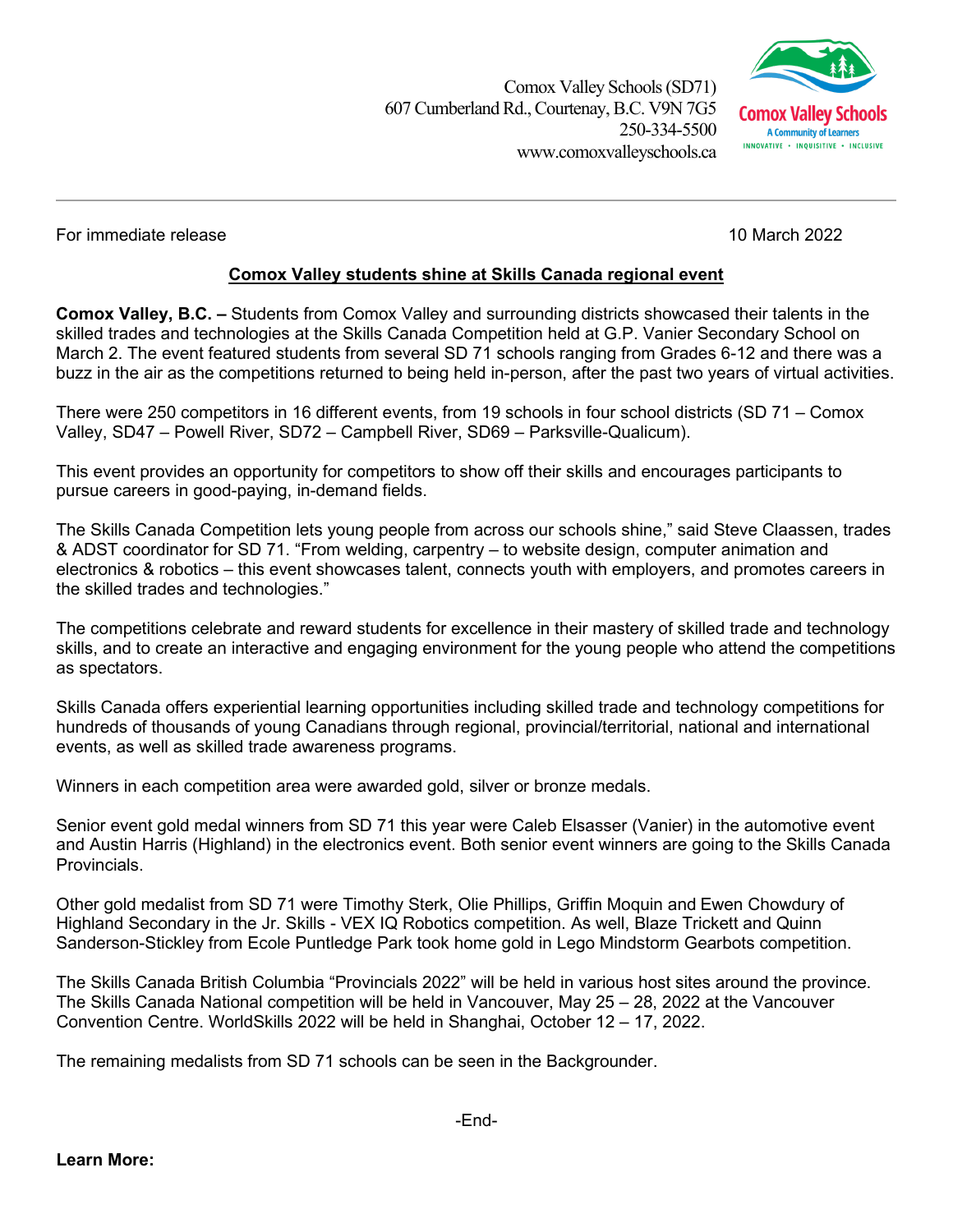Comox Valley Schools (SD71) 607 Cumberland Rd.,Courtenay, B.C. V9N 7G5 250-334-5500 www.comoxvalleyschools.ca



For immediate release 10 March 2022

## **Comox Valley students shine at Skills Canada regional event**

**Comox Valley, B.C. –** Students from Comox Valley and surrounding districts showcased their talents in the skilled trades and technologies at the Skills Canada Competition held at G.P. Vanier Secondary School on March 2. The event featured students from several SD 71 schools ranging from Grades 6-12 and there was a buzz in the air as the competitions returned to being held in-person, after the past two years of virtual activities.

There were 250 competitors in 16 different events, from 19 schools in four school districts (SD 71 – Comox Valley, SD47 – Powell River, SD72 – Campbell River, SD69 – Parksville-Qualicum).

This event provides an opportunity for competitors to show off their skills and encourages participants to pursue careers in good-paying, in-demand fields.

The Skills Canada Competition lets young people from across our schools shine," said Steve Claassen, trades & ADST coordinator for SD 71. "From welding, carpentry – to website design, computer animation and electronics & robotics – this event showcases talent, connects youth with employers, and promotes careers in the skilled trades and technologies."

The competitions celebrate and reward students for excellence in their mastery of skilled trade and technology skills, and to create an interactive and engaging environment for the young people who attend the competitions as spectators.

Skills Canada offers experiential learning opportunities including skilled trade and technology competitions for hundreds of thousands of young Canadians through regional, provincial/territorial, national and international events, as well as skilled trade awareness programs.

Winners in each competition area were awarded gold, silver or bronze medals.

Senior event gold medal winners from SD 71 this year were Caleb Elsasser (Vanier) in the automotive event and Austin Harris (Highland) in the electronics event. Both senior event winners are going to the Skills Canada **Provincials** 

Other gold medalist from SD 71 were Timothy Sterk, Olie Phillips, Griffin Moquin and Ewen Chowdury of Highland Secondary in the Jr. Skills - VEX IQ Robotics competition. As well, Blaze Trickett and Quinn Sanderson-Stickley from Ecole Puntledge Park took home gold in Lego Mindstorm Gearbots competition.

The Skills Canada British Columbia "Provincials 2022" will be held in various host sites around the province. The Skills Canada National competition will be held in Vancouver, May 25 – 28, 2022 at the Vancouver Convention Centre. WorldSkills 2022 will be held in Shanghai, October 12 – 17, 2022.

The remaining medalists from SD 71 schools can be seen in the Backgrounder.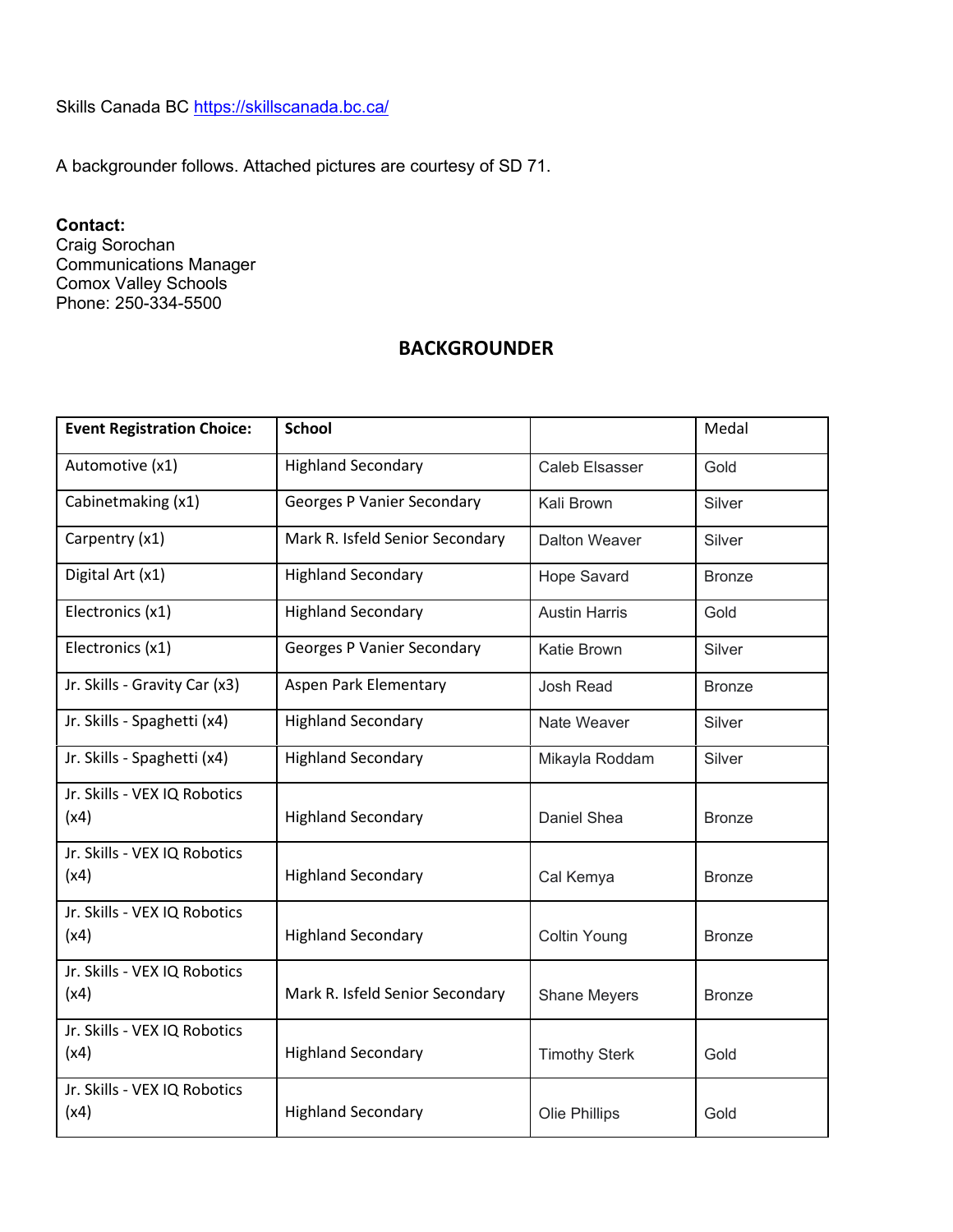Skills Canada BC <https://skillscanada.bc.ca/>

A backgrounder follows. Attached pictures are courtesy of SD 71.

## **Contact:**

Craig Sorochan Communications Manager Comox Valley Schools Phone: 250-334-5500

## **BACKGROUNDER**

| <b>Event Registration Choice:</b>    | <b>School</b>                     |                      | Medal         |
|--------------------------------------|-----------------------------------|----------------------|---------------|
| Automotive (x1)                      | <b>Highland Secondary</b>         | Caleb Elsasser       | Gold          |
| Cabinetmaking (x1)                   | <b>Georges P Vanier Secondary</b> | Kali Brown           | Silver        |
| Carpentry (x1)                       | Mark R. Isfeld Senior Secondary   | <b>Dalton Weaver</b> | Silver        |
| Digital Art (x1)                     | <b>Highland Secondary</b>         | <b>Hope Savard</b>   | <b>Bronze</b> |
| Electronics (x1)                     | <b>Highland Secondary</b>         | <b>Austin Harris</b> | Gold          |
| Electronics (x1)                     | <b>Georges P Vanier Secondary</b> | Katie Brown          | Silver        |
| Jr. Skills - Gravity Car (x3)        | Aspen Park Elementary             | <b>Josh Read</b>     | <b>Bronze</b> |
| Jr. Skills - Spaghetti (x4)          | <b>Highland Secondary</b>         | Nate Weaver          | Silver        |
| Jr. Skills - Spaghetti (x4)          | <b>Highland Secondary</b>         | Mikayla Roddam       | Silver        |
| Jr. Skills - VEX IQ Robotics<br>(x4) | <b>Highland Secondary</b>         | Daniel Shea          | <b>Bronze</b> |
| Jr. Skills - VEX IQ Robotics<br>(x4) | <b>Highland Secondary</b>         | Cal Kemya            | <b>Bronze</b> |
| Jr. Skills - VEX IQ Robotics<br>(x4) | <b>Highland Secondary</b>         | <b>Coltin Young</b>  | <b>Bronze</b> |
| Jr. Skills - VEX IQ Robotics<br>(x4) | Mark R. Isfeld Senior Secondary   | Shane Meyers         | <b>Bronze</b> |
| Jr. Skills - VEX IQ Robotics<br>(x4) | <b>Highland Secondary</b>         | <b>Timothy Sterk</b> | Gold          |
| Jr. Skills - VEX IQ Robotics<br>(x4) | <b>Highland Secondary</b>         | Olie Phillips        | Gold          |